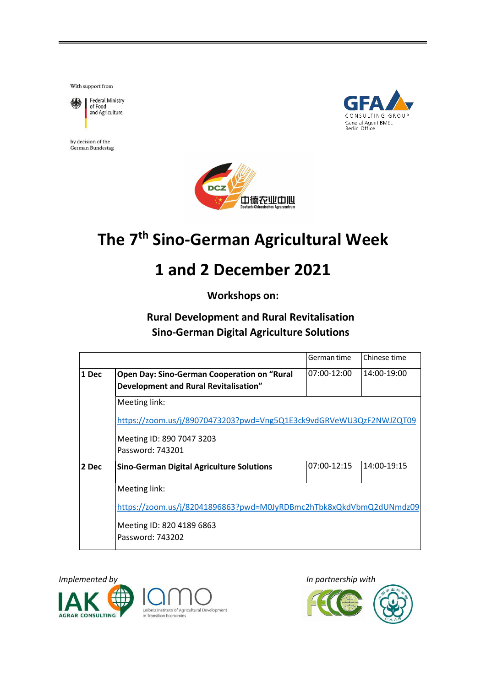With support from



by decision of the German Bundestag





# **The 7 th Sino-German Agricultural Week**

# **1 and 2 December 2021**

**Workshops on:**

### **Rural Development and Rural Revitalisation Sino-German Digital Agriculture Solutions**

|       |                                                                    | German time | Chinese time |  |
|-------|--------------------------------------------------------------------|-------------|--------------|--|
| 1 Dec | Open Day: Sino-German Cooperation on "Rural                        | 07:00-12:00 | 14:00-19:00  |  |
|       | Development and Rural Revitalisation"                              |             |              |  |
|       | Meeting link:                                                      |             |              |  |
|       | https://zoom.us/j/89070473203?pwd=Vng5Q1E3ck9vdGRVeWU3QzF2NWJZQT09 |             |              |  |
|       | Meeting ID: 890 7047 3203<br>Password: 743201                      |             |              |  |
| 2 Dec | <b>Sino-German Digital Agriculture Solutions</b>                   | 07:00-12:15 | 14:00-19:15  |  |
|       | Meeting link:                                                      |             |              |  |
|       | https://zoom.us/j/82041896863?pwd=M0JyRDBmc2hTbk8xQkdVbmQ2dUNmdz09 |             |              |  |
|       | Meeting ID: 820 4189 6863                                          |             |              |  |
|       | Password: 743202                                                   |             |              |  |





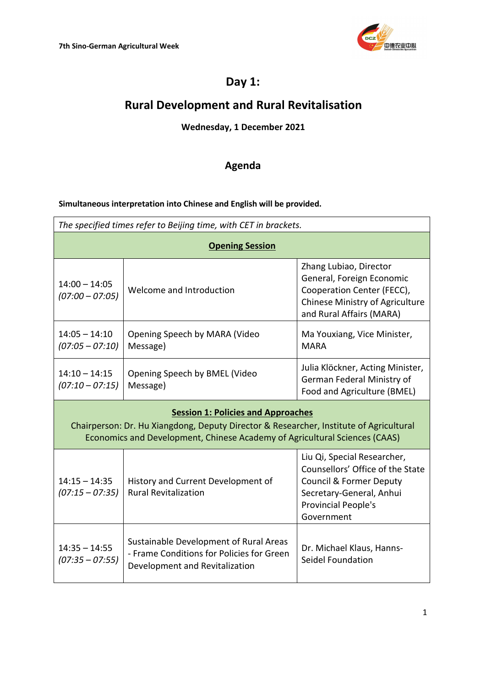

## **Day 1:**

## **Rural Development and Rural Revitalisation**

### **Wednesday, 1 December 2021**

### **Agenda**

#### **Simultaneous interpretation into Chinese and English will be provided.**

| The specified times refer to Beijing time, with CET in brackets.                                                                                                                                                  |                                                                                                                       |                                                                                                                                                                        |  |
|-------------------------------------------------------------------------------------------------------------------------------------------------------------------------------------------------------------------|-----------------------------------------------------------------------------------------------------------------------|------------------------------------------------------------------------------------------------------------------------------------------------------------------------|--|
| <b>Opening Session</b>                                                                                                                                                                                            |                                                                                                                       |                                                                                                                                                                        |  |
| $14:00 - 14:05$<br>$(07:00 - 07:05)$                                                                                                                                                                              | Welcome and Introduction                                                                                              | Zhang Lubiao, Director<br>General, Foreign Economic<br>Cooperation Center (FECC),<br>Chinese Ministry of Agriculture<br>and Rural Affairs (MARA)                       |  |
| $14:05 - 14:10$<br>$(07:05 - 07:10)$                                                                                                                                                                              | Opening Speech by MARA (Video<br>Message)                                                                             | Ma Youxiang, Vice Minister,<br><b>MARA</b>                                                                                                                             |  |
| $14:10 - 14:15$<br>$(07:10 - 07:15)$                                                                                                                                                                              | Opening Speech by BMEL (Video<br>Message)                                                                             | Julia Klöckner, Acting Minister,<br>German Federal Ministry of<br>Food and Agriculture (BMEL)                                                                          |  |
| <b>Session 1: Policies and Approaches</b><br>Chairperson: Dr. Hu Xiangdong, Deputy Director & Researcher, Institute of Agricultural<br>Economics and Development, Chinese Academy of Agricultural Sciences (CAAS) |                                                                                                                       |                                                                                                                                                                        |  |
| $14:15 - 14:35$<br>$(07:15 - 07:35)$                                                                                                                                                                              | History and Current Development of<br><b>Rural Revitalization</b>                                                     | Liu Qi, Special Researcher,<br>Counsellors' Office of the State<br><b>Council &amp; Former Deputy</b><br>Secretary-General, Anhui<br>Provincial People's<br>Government |  |
| $14:35 - 14:55$<br>$(07:35 - 07:55)$                                                                                                                                                                              | Sustainable Development of Rural Areas<br>- Frame Conditions for Policies for Green<br>Development and Revitalization | Dr. Michael Klaus, Hanns-<br>Seidel Foundation                                                                                                                         |  |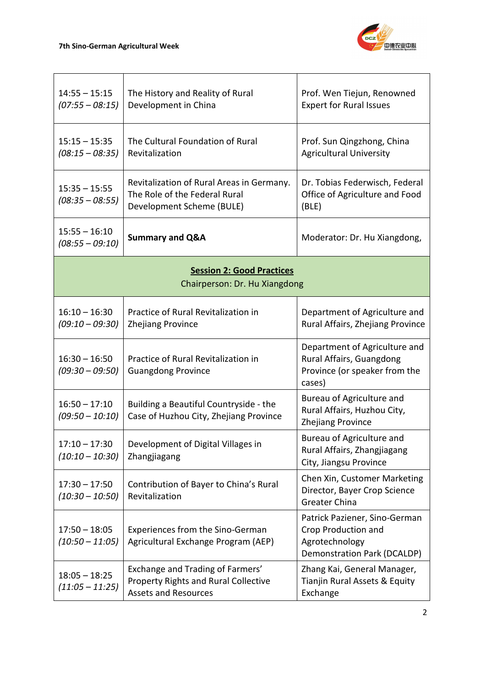

| $14:55 - 15:15$<br>$(07:55 - 08:15)$ | The History and Reality of Rural<br>Development in China                                                       | Prof. Wen Tiejun, Renowned<br><b>Expert for Rural Issues</b>                                                 |
|--------------------------------------|----------------------------------------------------------------------------------------------------------------|--------------------------------------------------------------------------------------------------------------|
| $15:15 - 15:35$<br>$(08:15 - 08:35)$ | The Cultural Foundation of Rural<br>Revitalization                                                             | Prof. Sun Qingzhong, China<br><b>Agricultural University</b>                                                 |
| $15:35 - 15:55$<br>$(08:35 - 08:55)$ | Revitalization of Rural Areas in Germany.<br>The Role of the Federal Rural<br>Development Scheme (BULE)        | Dr. Tobias Federwisch, Federal<br>Office of Agriculture and Food<br>(BLE)                                    |
| $15:55 - 16:10$<br>$(08:55 - 09:10)$ | <b>Summary and Q&amp;A</b>                                                                                     | Moderator: Dr. Hu Xiangdong,                                                                                 |
|                                      | <b>Session 2: Good Practices</b><br>Chairperson: Dr. Hu Xiangdong                                              |                                                                                                              |
| $16:10 - 16:30$<br>$(09:10 - 09:30)$ | Practice of Rural Revitalization in<br><b>Zhejiang Province</b>                                                | Department of Agriculture and<br>Rural Affairs, Zhejiang Province                                            |
| $16:30 - 16:50$<br>$(09:30 - 09:50)$ | Practice of Rural Revitalization in<br><b>Guangdong Province</b>                                               | Department of Agriculture and<br>Rural Affairs, Guangdong<br>Province (or speaker from the<br>cases)         |
| $16:50 - 17:10$<br>$(09:50 - 10:10)$ | Building a Beautiful Countryside - the<br>Case of Huzhou City, Zhejiang Province                               | Bureau of Agriculture and<br>Rural Affairs, Huzhou City,<br><b>Zhejiang Province</b>                         |
| $17:10 - 17:30$<br>$(10:10 - 10:30)$ | Development of Digital Villages in<br>Zhangjiagang                                                             | Bureau of Agriculture and<br>Rural Affairs, Zhangjiagang<br>City, Jiangsu Province                           |
| $17:30 - 17:50$<br>$(10:30 - 10:50)$ | Contribution of Bayer to China's Rural<br>Revitalization                                                       | Chen Xin, Customer Marketing<br>Director, Bayer Crop Science<br><b>Greater China</b>                         |
| $17:50 - 18:05$<br>$(10:50 - 11:05)$ | Experiences from the Sino-German<br>Agricultural Exchange Program (AEP)                                        | Patrick Paziener, Sino-German<br>Crop Production and<br>Agrotechnology<br><b>Demonstration Park (DCALDP)</b> |
| $18:05 - 18:25$<br>$(11:05 - 11:25)$ | Exchange and Trading of Farmers'<br><b>Property Rights and Rural Collective</b><br><b>Assets and Resources</b> | Zhang Kai, General Manager,<br>Tianjin Rural Assets & Equity<br>Exchange                                     |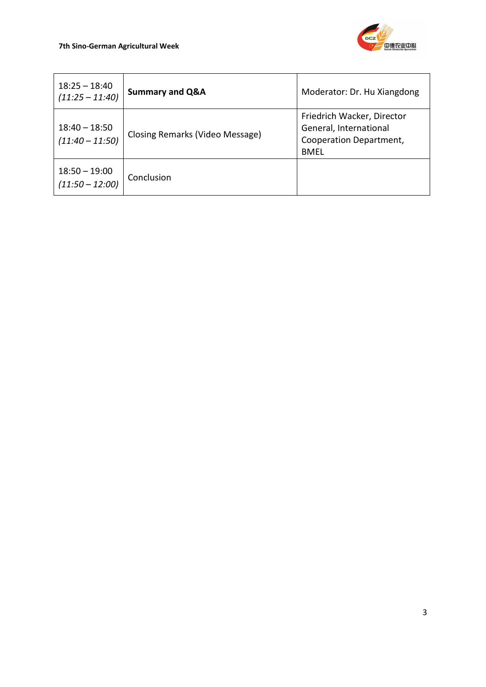

| $18:25 - 18:40$<br>$(11:25 - 11:40)$ | <b>Summary and Q&amp;A</b>      | Moderator: Dr. Hu Xiangdong                                                                    |
|--------------------------------------|---------------------------------|------------------------------------------------------------------------------------------------|
| $18:40 - 18:50$<br>$(11:40 - 11:50)$ | Closing Remarks (Video Message) | Friedrich Wacker, Director<br>General, International<br>Cooperation Department,<br><b>BMEL</b> |
| $18:50 - 19:00$<br>$(11:50 - 12:00)$ | Conclusion                      |                                                                                                |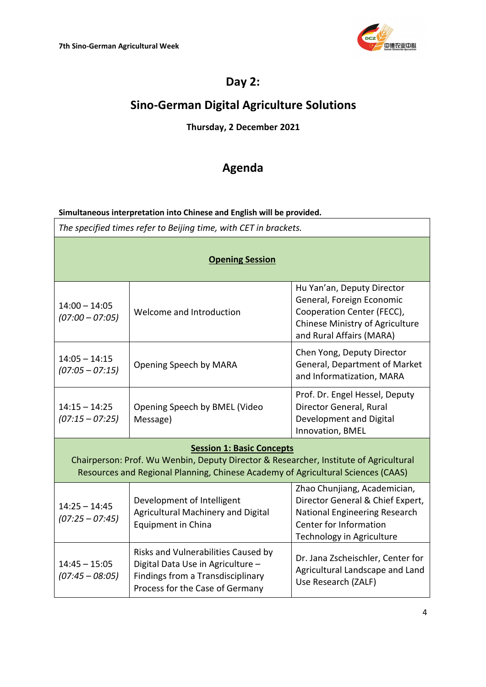

### **Day 2:**

# **Sino-German Digital Agriculture Solutions**

### **Thursday, 2 December 2021**

### **Agenda**

#### **Simultaneous interpretation into Chinese and English will be provided.**

*The specified times refer to Beijing time, with CET in brackets.*

| <b>Opening Session</b>               |                                                                                                                                                                                                               |                                                                                                                                                                 |  |
|--------------------------------------|---------------------------------------------------------------------------------------------------------------------------------------------------------------------------------------------------------------|-----------------------------------------------------------------------------------------------------------------------------------------------------------------|--|
| $14:00 - 14:05$<br>$(07:00 - 07:05)$ | Welcome and Introduction                                                                                                                                                                                      | Hu Yan'an, Deputy Director<br>General, Foreign Economic<br>Cooperation Center (FECC),<br>Chinese Ministry of Agriculture<br>and Rural Affairs (MARA)            |  |
| $14:05 - 14:15$<br>$(07:05 - 07:15)$ | Opening Speech by MARA                                                                                                                                                                                        | Chen Yong, Deputy Director<br>General, Department of Market<br>and Informatization, MARA                                                                        |  |
| $14:15 - 14:25$<br>$(07:15 - 07:25)$ | Opening Speech by BMEL (Video<br>Message)                                                                                                                                                                     | Prof. Dr. Engel Hessel, Deputy<br>Director General, Rural<br>Development and Digital<br>Innovation, BMEL                                                        |  |
|                                      | <b>Session 1: Basic Concepts</b><br>Chairperson: Prof. Wu Wenbin, Deputy Director & Researcher, Institute of Agricultural<br>Resources and Regional Planning, Chinese Academy of Agricultural Sciences (CAAS) |                                                                                                                                                                 |  |
| $14:25 - 14:45$<br>$(07:25 - 07:45)$ | Development of Intelligent<br>Agricultural Machinery and Digital<br>Equipment in China                                                                                                                        | Zhao Chunjiang, Academician,<br>Director General & Chief Expert,<br><b>National Engineering Research</b><br>Center for Information<br>Technology in Agriculture |  |
| $14:45 - 15:05$<br>$(07:45 - 08:05)$ | Risks and Vulnerabilities Caused by<br>Digital Data Use in Agriculture -<br>Findings from a Transdisciplinary<br>Process for the Case of Germany                                                              | Dr. Jana Zscheischler, Center for<br>Agricultural Landscape and Land<br>Use Research (ZALF)                                                                     |  |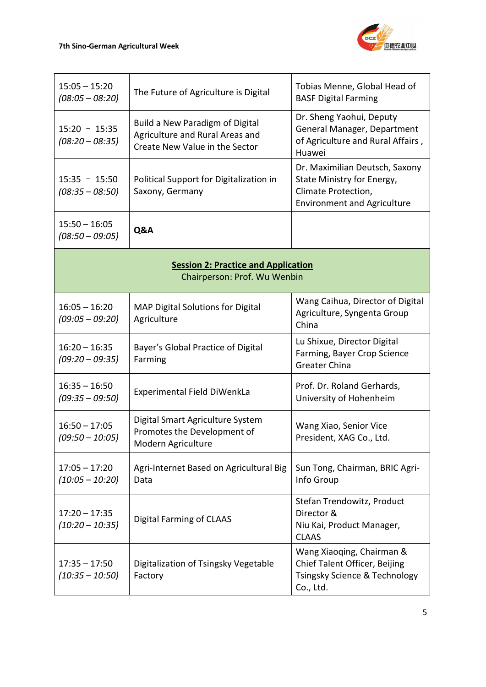

| $15:05 - 15:20$<br>$(08:05 - 08:20)$                                       | The Future of Agriculture is Digital                                                                 | Tobias Menne, Global Head of<br><b>BASF Digital Farming</b>                                                               |
|----------------------------------------------------------------------------|------------------------------------------------------------------------------------------------------|---------------------------------------------------------------------------------------------------------------------------|
| $15:20 - 15:35$<br>$(08:20 - 08:35)$                                       | Build a New Paradigm of Digital<br>Agriculture and Rural Areas and<br>Create New Value in the Sector | Dr. Sheng Yaohui, Deputy<br>General Manager, Department<br>of Agriculture and Rural Affairs,<br>Huawei                    |
| $15:35 - 15:50$<br>$(08:35 - 08:50)$                                       | Political Support for Digitalization in<br>Saxony, Germany                                           | Dr. Maximilian Deutsch, Saxony<br>State Ministry for Energy,<br>Climate Protection,<br><b>Environment and Agriculture</b> |
| $15:50 - 16:05$<br>$(08:50 - 09:05)$                                       | Q&A                                                                                                  |                                                                                                                           |
| <b>Session 2: Practice and Application</b><br>Chairperson: Prof. Wu Wenbin |                                                                                                      |                                                                                                                           |
| $16:05 - 16:20$<br>$(09:05 - 09:20)$                                       | MAP Digital Solutions for Digital<br>Agriculture                                                     | Wang Caihua, Director of Digital<br>Agriculture, Syngenta Group<br>China                                                  |
| $16:20 - 16:35$<br>$(09:20 - 09:35)$                                       | Bayer's Global Practice of Digital<br>Farming                                                        | Lu Shixue, Director Digital<br>Farming, Bayer Crop Science<br>Greater China                                               |
| $16:35 - 16:50$<br>$(09:35 - 09:50)$                                       | Experimental Field DiWenkLa                                                                          | Prof. Dr. Roland Gerhards,<br>University of Hohenheim                                                                     |
| $16:50 - 17:05$<br>$(09:50 - 10:05)$                                       | Digital Smart Agriculture System<br>Promotes the Development of<br>Modern Agriculture                | Wang Xiao, Senior Vice<br>President, XAG Co., Ltd.                                                                        |
| $17:05 - 17:20$<br>$(10:05 - 10:20)$                                       | Agri-Internet Based on Agricultural Big<br>Data                                                      | Sun Tong, Chairman, BRIC Agri-<br>Info Group                                                                              |
| $17:20 - 17:35$<br>$(10:20 - 10:35)$                                       | <b>Digital Farming of CLAAS</b>                                                                      | Stefan Trendowitz, Product<br>Director &<br>Niu Kai, Product Manager,<br><b>CLAAS</b>                                     |
| $17:35 - 17:50$<br>$(10:35 - 10:50)$                                       | Digitalization of Tsingsky Vegetable<br>Factory                                                      | Wang Xiaoqing, Chairman &<br>Chief Talent Officer, Beijing<br>Tsingsky Science & Technology<br>Co., Ltd.                  |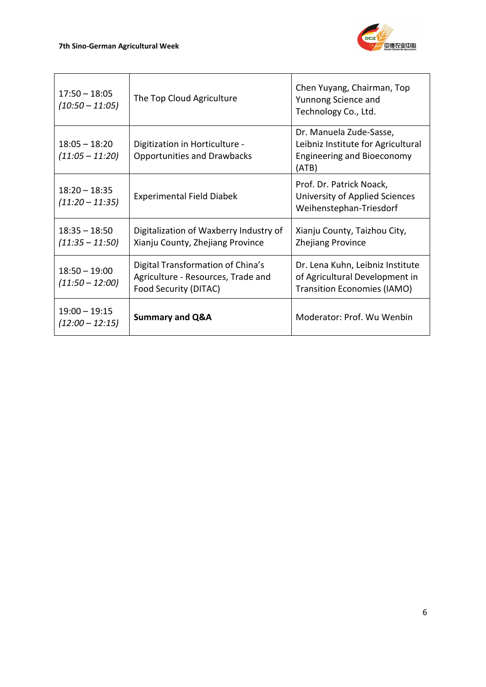

| $17:50 - 18:05$<br>$(10:50 - 11:05)$ | The Top Cloud Agriculture                                                                        | Chen Yuyang, Chairman, Top<br>Yunnong Science and<br>Technology Co., Ltd.                                   |
|--------------------------------------|--------------------------------------------------------------------------------------------------|-------------------------------------------------------------------------------------------------------------|
| $18:05 - 18:20$<br>$(11:05 - 11:20)$ | Digitization in Horticulture -<br><b>Opportunities and Drawbacks</b>                             | Dr. Manuela Zude-Sasse,<br>Leibniz Institute for Agricultural<br><b>Engineering and Bioeconomy</b><br>(ATB) |
| $18:20 - 18:35$<br>$(11:20 - 11:35)$ | <b>Experimental Field Diabek</b>                                                                 | Prof. Dr. Patrick Noack,<br>University of Applied Sciences<br>Weihenstephan-Triesdorf                       |
| $18:35 - 18:50$<br>$(11:35 - 11:50)$ | Digitalization of Waxberry Industry of<br>Xianju County, Zhejiang Province                       | Xianju County, Taizhou City,<br><b>Zhejiang Province</b>                                                    |
| $18:50 - 19:00$<br>$(11:50 - 12:00)$ | Digital Transformation of China's<br>Agriculture - Resources, Trade and<br>Food Security (DITAC) | Dr. Lena Kuhn, Leibniz Institute<br>of Agricultural Development in<br><b>Transition Economies (IAMO)</b>    |
| $19:00 - 19:15$<br>$(12:00 - 12:15)$ | <b>Summary and Q&amp;A</b>                                                                       | Moderator: Prof. Wu Wenbin                                                                                  |